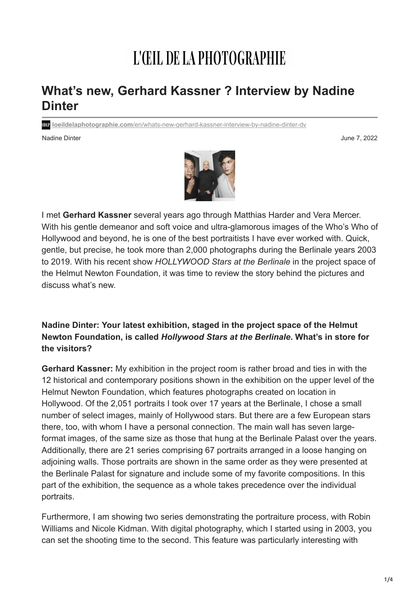# L'ŒIL DE LA PHOTOGRAPHIE

# **What's new, Gerhard Kassner ? Interview by Nadine Dinter**

**loeildelaphotographie.com**[/en/whats-new-gerhard-kassner-interview-by-nadine-dinter-dv](https://loeildelaphotographie.com/en/whats-new-gerhard-kassner-interview-by-nadine-dinter-dv/)

Nadine Dinter June 7, 2022



I met **Gerhard Kassner** several years ago through Matthias Harder and Vera Mercer. With his gentle demeanor and soft voice and ultra-glamorous images of the Who's Who of Hollywood and beyond, he is one of the best portraitists I have ever worked with. Quick, gentle, but precise, he took more than 2,000 photographs during the Berlinale years 2003 to 2019. With his recent show *HOLLYWOOD Stars at the Berlinale* in the project space of the Helmut Newton Foundation, it was time to review the story behind the pictures and discuss what's new.

# **Nadine Dinter: Your latest exhibition, staged in the project space of the Helmut Newton Foundation, is called** *Hollywood Stars at the Berlinale***. What's in store for the visitors?**

**Gerhard Kassner:** My exhibition in the project room is rather broad and ties in with the 12 historical and contemporary positions shown in the exhibition on the upper level of the Helmut Newton Foundation, which features photographs created on location in Hollywood. Of the 2,051 portraits I took over 17 years at the Berlinale, I chose a small number of select images, mainly of Hollywood stars. But there are a few European stars there, too, with whom I have a personal connection. The main wall has seven largeformat images, of the same size as those that hung at the Berlinale Palast over the years. Additionally, there are 21 series comprising 67 portraits arranged in a loose hanging on adjoining walls. Those portraits are shown in the same order as they were presented at the Berlinale Palast for signature and include some of my favorite compositions. In this part of the exhibition, the sequence as a whole takes precedence over the individual portraits.

Furthermore, I am showing two series demonstrating the portraiture process, with Robin Williams and Nicole Kidman. With digital photography, which I started using in 2003, you can set the shooting time to the second. This feature was particularly interesting with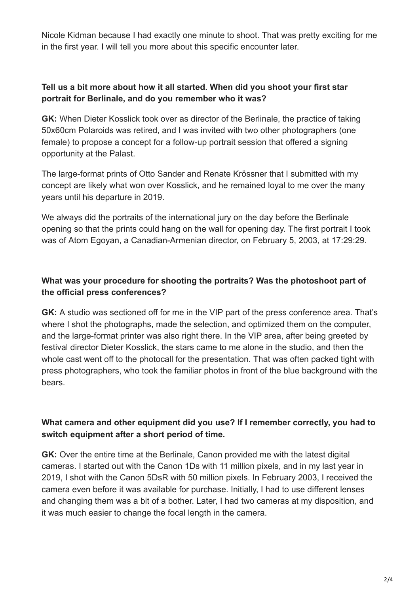Nicole Kidman because I had exactly one minute to shoot. That was pretty exciting for me in the first year. I will tell you more about this specific encounter later.

#### **Tell us a bit more about how it all started. When did you shoot your first star portrait for Berlinale, and do you remember who it was?**

**GK:** When Dieter Kosslick took over as director of the Berlinale, the practice of taking 50x60cm Polaroids was retired, and I was invited with two other photographers (one female) to propose a concept for a follow-up portrait session that offered a signing opportunity at the Palast.

The large-format prints of Otto Sander and Renate Krössner that I submitted with my concept are likely what won over Kosslick, and he remained loyal to me over the many years until his departure in 2019.

We always did the portraits of the international jury on the day before the Berlinale opening so that the prints could hang on the wall for opening day. The first portrait I took was of Atom Egoyan, a Canadian-Armenian director, on February 5, 2003, at 17:29:29.

# **What was your procedure for shooting the portraits? Was the photoshoot part of the official press conferences?**

**GK:** A studio was sectioned off for me in the VIP part of the press conference area. That's where I shot the photographs, made the selection, and optimized them on the computer, and the large-format printer was also right there. In the VIP area, after being greeted by festival director Dieter Kosslick, the stars came to me alone in the studio, and then the whole cast went off to the photocall for the presentation. That was often packed tight with press photographers, who took the familiar photos in front of the blue background with the bears.

# **What camera and other equipment did you use? If I remember correctly, you had to switch equipment after a short period of time.**

**GK:** Over the entire time at the Berlinale, Canon provided me with the latest digital cameras. I started out with the Canon 1Ds with 11 million pixels, and in my last year in 2019, I shot with the Canon 5DsR with 50 million pixels. In February 2003, I received the camera even before it was available for purchase. Initially, I had to use different lenses and changing them was a bit of a bother. Later, I had two cameras at my disposition, and it was much easier to change the focal length in the camera.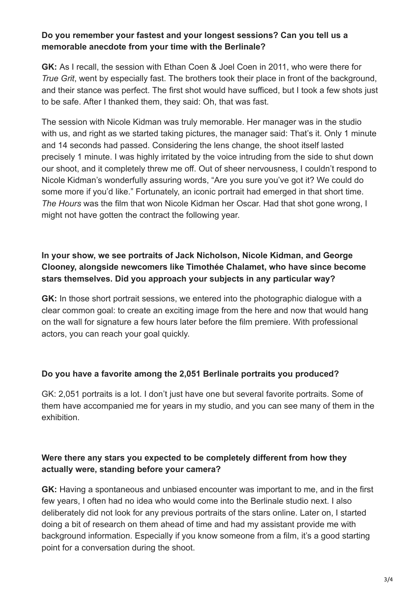#### **Do you remember your fastest and your longest sessions? Can you tell us a memorable anecdote from your time with the Berlinale?**

**GK:** As I recall, the session with Ethan Coen & Joel Coen in 2011, who were there for *True Grit*, went by especially fast. The brothers took their place in front of the background, and their stance was perfect. The first shot would have sufficed, but I took a few shots just to be safe. After I thanked them, they said: Oh, that was fast.

The session with Nicole Kidman was truly memorable. Her manager was in the studio with us, and right as we started taking pictures, the manager said: That's it. Only 1 minute and 14 seconds had passed. Considering the lens change, the shoot itself lasted precisely 1 minute. I was highly irritated by the voice intruding from the side to shut down our shoot, and it completely threw me off. Out of sheer nervousness, I couldn't respond to Nicole Kidman's wonderfully assuring words, "Are you sure you've got it? We could do some more if you'd like." Fortunately, an iconic portrait had emerged in that short time. *The Hours* was the film that won Nicole Kidman her Oscar. Had that shot gone wrong, I might not have gotten the contract the following year.

# **In your show, we see portraits of Jack Nicholson, Nicole Kidman, and George Clooney, alongside newcomers like Timothée Chalamet, who have since become stars themselves. Did you approach your subjects in any particular way?**

**GK:** In those short portrait sessions, we entered into the photographic dialogue with a clear common goal: to create an exciting image from the here and now that would hang on the wall for signature a few hours later before the film premiere. With professional actors, you can reach your goal quickly.

#### **Do you have a favorite among the 2,051 Berlinale portraits you produced?**

GK: 2,051 portraits is a lot. I don't just have one but several favorite portraits. Some of them have accompanied me for years in my studio, and you can see many of them in the exhibition.

#### **Were there any stars you expected to be completely different from how they actually were, standing before your camera?**

**GK:** Having a spontaneous and unbiased encounter was important to me, and in the first few years, I often had no idea who would come into the Berlinale studio next. I also deliberately did not look for any previous portraits of the stars online. Later on, I started doing a bit of research on them ahead of time and had my assistant provide me with background information. Especially if you know someone from a film, it's a good starting point for a conversation during the shoot.